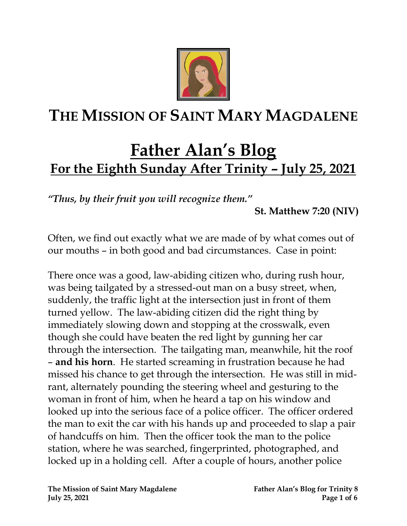

# **THE MISSION OF SAINT MARY MAGDALENE**

# **Father Alan's Blog For the Eighth Sunday After Trinity – July 25, 2021**

*"Thus, by their fruit you will recognize them."* 

**St. Matthew 7:20 (NIV)**

Often, we find out exactly what we are made of by what comes out of our mouths – in both good and bad circumstances. Case in point:

There once was a good, law-abiding citizen who, during rush hour, was being tailgated by a stressed-out man on a busy street, when, suddenly, the traffic light at the intersection just in front of them turned yellow. The law-abiding citizen did the right thing by immediately slowing down and stopping at the crosswalk, even though she could have beaten the red light by gunning her car through the intersection. The tailgating man, meanwhile, hit the roof – **and his horn**. He started screaming in frustration because he had missed his chance to get through the intersection. He was still in midrant, alternately pounding the steering wheel and gesturing to the woman in front of him, when he heard a tap on his window and looked up into the serious face of a police officer. The officer ordered the man to exit the car with his hands up and proceeded to slap a pair of handcuffs on him. Then the officer took the man to the police station, where he was searched, fingerprinted, photographed, and locked up in a holding cell. After a couple of hours, another police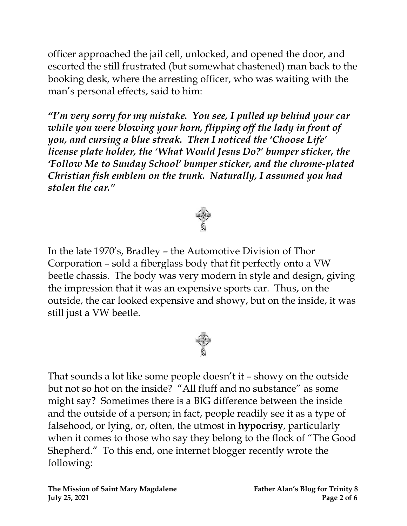officer approached the jail cell, unlocked, and opened the door, and escorted the still frustrated (but somewhat chastened) man back to the booking desk, where the arresting officer, who was waiting with the man's personal effects, said to him:

*"I'm very sorry for my mistake. You see, I pulled up behind your car while you were blowing your horn, flipping off the lady in front of you, and cursing a blue streak. Then I noticed the 'Choose Life' license plate holder, the 'What Would Jesus Do?' bumper sticker, the 'Follow Me to Sunday School' bumper sticker, and the chrome-plated Christian fish emblem on the trunk. Naturally, I assumed you had stolen the car."* 





That sounds a lot like some people doesn't it – showy on the outside but not so hot on the inside? "All fluff and no substance" as some might say? Sometimes there is a BIG difference between the inside and the outside of a person; in fact, people readily see it as a type of falsehood, or lying, or, often, the utmost in **hypocrisy**, particularly when it comes to those who say they belong to the flock of "The Good Shepherd." To this end, one internet blogger recently wrote the following: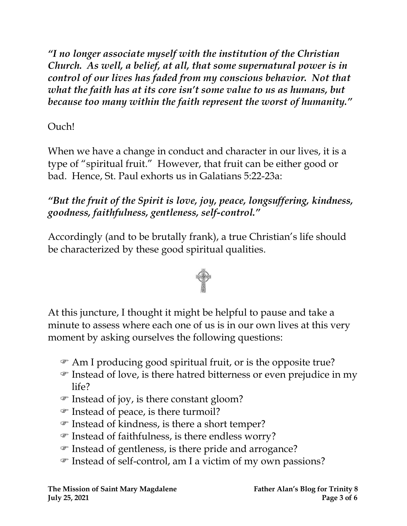*"I no longer associate myself with the institution of the Christian Church. As well, a belief, at all, that some supernatural power is in control of our lives has faded from my conscious behavior. Not that what the faith has at its core isn't some value to us as humans, but because too many within the faith represent the worst of humanity."*

### Ouch!

When we have a change in conduct and character in our lives, it is a type of "spiritual fruit." However, that fruit can be either good or bad. Hence, St. Paul exhorts us in Galatians 5:22-23a:

*"But the fruit of the Spirit is love, joy, peace, longsuffering, kindness, goodness, faithfulness, gentleness, self-control."*

Accordingly (and to be brutally frank), a true Christian's life should be characterized by these good spiritual qualities.



At this juncture, I thought it might be helpful to pause and take a minute to assess where each one of us is in our own lives at this very moment by asking ourselves the following questions:

- Am I producing good spiritual fruit, or is the opposite true?
- $\mathcal F$  Instead of love, is there hatred bitterness or even prejudice in my life?
- Instead of joy, is there constant gloom?
- Instead of peace, is there turmoil?
- Instead of kindness, is there a short temper?
- $\mathcal F$  Instead of faithfulness, is there endless worry?
- Instead of gentleness, is there pride and arrogance?
- Instead of self-control, am I a victim of my own passions?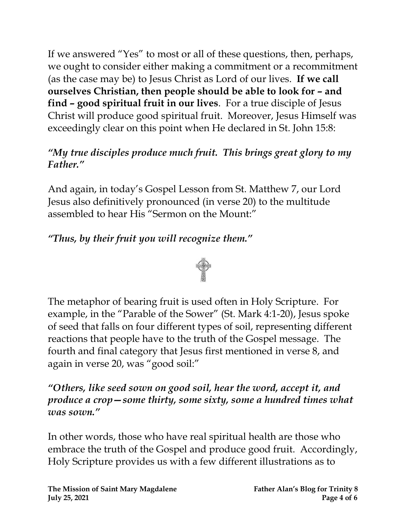If we answered "Yes" to most or all of these questions, then, perhaps, we ought to consider either making a commitment or a recommitment (as the case may be) to Jesus Christ as Lord of our lives. **If we call ourselves Christian, then people should be able to look for – and find – good spiritual fruit in our lives**. For a true disciple of Jesus Christ will produce good spiritual fruit. Moreover, Jesus Himself was exceedingly clear on this point when He declared in St. John 15:8:

#### *"My true disciples produce much fruit. This brings great glory to my Father."*

And again, in today's Gospel Lesson from St. Matthew 7, our Lord Jesus also definitively pronounced (in verse 20) to the multitude assembled to hear His "Sermon on the Mount:"

## *"Thus, by their fruit you will recognize them."*



The metaphor of bearing fruit is used often in Holy Scripture. For example, in the "Parable of the Sower" (St. Mark 4:1-20), Jesus spoke of seed that falls on four different types of soil, representing different reactions that people have to the truth of the Gospel message. The fourth and final category that Jesus first mentioned in verse 8, and again in verse 20, was "good soil:"

*"Others, like seed sown on good soil, hear the word, accept it, and produce a crop—some thirty, some sixty, some a hundred times what was sown."*

In other words, those who have real spiritual health are those who embrace the truth of the Gospel and produce good fruit. Accordingly, Holy Scripture provides us with a few different illustrations as to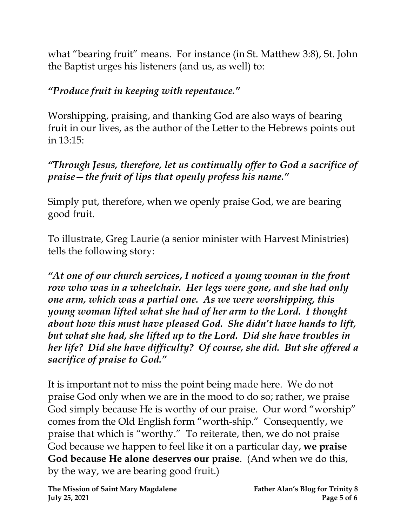what "bearing fruit" means. For instance (in St. Matthew 3:8), St. John the Baptist urges his listeners (and us, as well) to:

## *"Produce fruit in keeping with repentance."*

Worshipping, praising, and thanking God are also ways of bearing fruit in our lives, as the author of the Letter to the Hebrews points out in 13:15:

*"Through Jesus, therefore, let us continually offer to God a sacrifice of praise—the fruit of lips that openly profess his name."*

Simply put, therefore, when we openly praise God, we are bearing good fruit.

To illustrate, Greg Laurie (a senior minister with Harvest Ministries) tells the following story:

*"At one of our church services, I noticed a young woman in the front row who was in a wheelchair. Her legs were gone, and she had only one arm, which was a partial one. As we were worshipping, this young woman lifted what she had of her arm to the Lord. I thought about how this must have pleased God. She didn't have hands to lift, but what she had, she lifted up to the Lord. Did she have troubles in her life? Did she have difficulty? Of course, she did. But she offered a sacrifice of praise to God."*

It is important not to miss the point being made here. We do not praise God only when we are in the mood to do so; rather, we praise God simply because He is worthy of our praise. Our word "worship" comes from the Old English form "worth-ship." Consequently, we praise that which is "worthy." To reiterate, then, we do not praise God because we happen to feel like it on a particular day, **we praise God because He alone deserves our praise**. (And when we do this, by the way, we are bearing good fruit.)